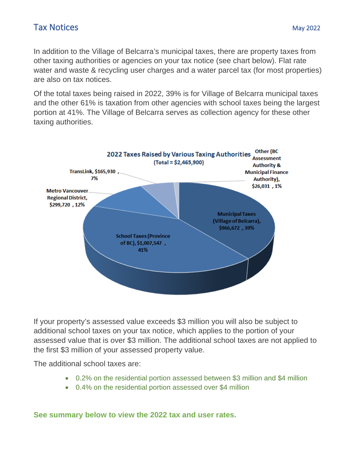In addition to the Village of Belcarra's municipal taxes, there are property taxes from other taxing authorities or agencies on your tax notice (see chart below). Flat rate water and waste & recycling user charges and a water parcel tax (for most properties) are also on tax notices.

Of the total taxes being raised in 2022, 39% is for Village of Belcarra municipal taxes and the other 61% is taxation from other agencies with school taxes being the largest portion at 41%. The Village of Belcarra serves as collection agency for these other taxing authorities.



If your property's assessed value exceeds \$3 million you will also be subject to additional school taxes on your tax notice, which applies to the portion of your assessed value that is over \$3 million. The additional school taxes are not applied to the first \$3 million of your assessed property value.

The additional school taxes are:

- 0.2% on the residential portion assessed between \$3 million and \$4 million
- 0.4% on the residential portion assessed over \$4 million

**See summary below to view the 2022 tax and user rates.**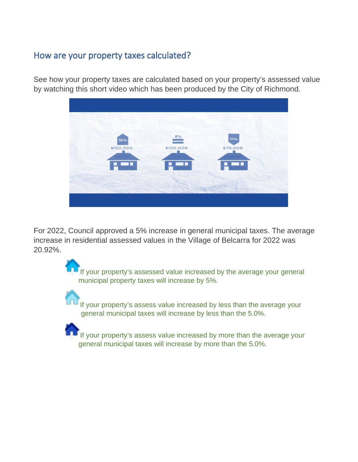# How are your property taxes calculated?

See how your property taxes are calculated based on your property's assessed value by watching this short video which has been produced by the City of Richmond.



For 2022, Council approved a 5% increase in general municipal taxes. The average increase in residential assessed values in the Village of Belcarra for 2022 was 20.92%.

> If your property's assessed value increased by the average your general municipal property taxes will increase by 5%.

If your property's assess value increased by less than the average your general municipal taxes will increase by less than the 5.0%.



If your property's assess value increased by more than the average your general municipal taxes will increase by more than the 5.0%.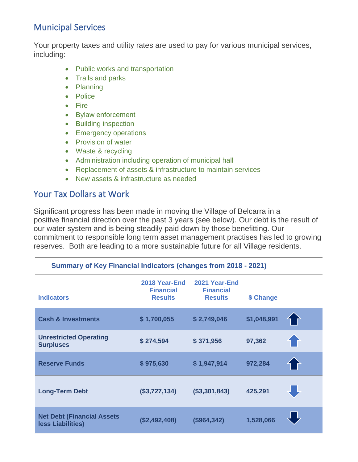## Municipal Services

Your property taxes and utility rates are used to pay for various municipal services, including:

- Public works and transportation
- Trails and parks
- Planning
- Police
- Fire
- Bylaw enforcement
- Building inspection
- Emergency operations
- Provision of water
- Waste & recycling
- Administration including operation of municipal hall
- Replacement of assets & infrastructure to maintain services

**Summary of Key Financial Indicators (changes from 2018 - 2021)**

• New assets & infrastructure as needed

## Your Tax Dollars at Work

Significant progress has been made in moving the Village of Belcarra in a positive financial direction over the past 3 years (see below). Our debt is the result of our water system and is being steadily paid down by those benefitting. Our commitment to responsible long term asset management practises has led to growing reserves. Both are leading to a more sustainable future for all Village residents.

| $\frac{1}{2}$ of Ref. Individually and $\frac{1}{2}$ (vidiges from 2010 - 2021) |                                                     |                                                     |             |  |  |
|---------------------------------------------------------------------------------|-----------------------------------------------------|-----------------------------------------------------|-------------|--|--|
| <b>Indicators</b>                                                               | 2018 Year-End<br><b>Financial</b><br><b>Results</b> | 2021 Year-End<br><b>Financial</b><br><b>Results</b> | \$ Change   |  |  |
| <b>Cash &amp; Investments</b>                                                   | \$1,700,055                                         | \$2,749,046                                         | \$1,048,991 |  |  |
| <b>Unrestricted Operating</b><br><b>Surpluses</b>                               | \$274,594                                           | \$371,956                                           | 97,362      |  |  |
| <b>Reserve Funds</b>                                                            | \$975,630                                           | \$1,947,914                                         | 972,284     |  |  |
| <b>Long-Term Debt</b>                                                           | (\$3,727,134)                                       | (\$3,301,843)                                       | 425,291     |  |  |
| <b>Net Debt (Financial Assets)</b><br>less Liabilities)                         | (\$2,492,408)                                       | (\$964,342)                                         | 1,528,066   |  |  |